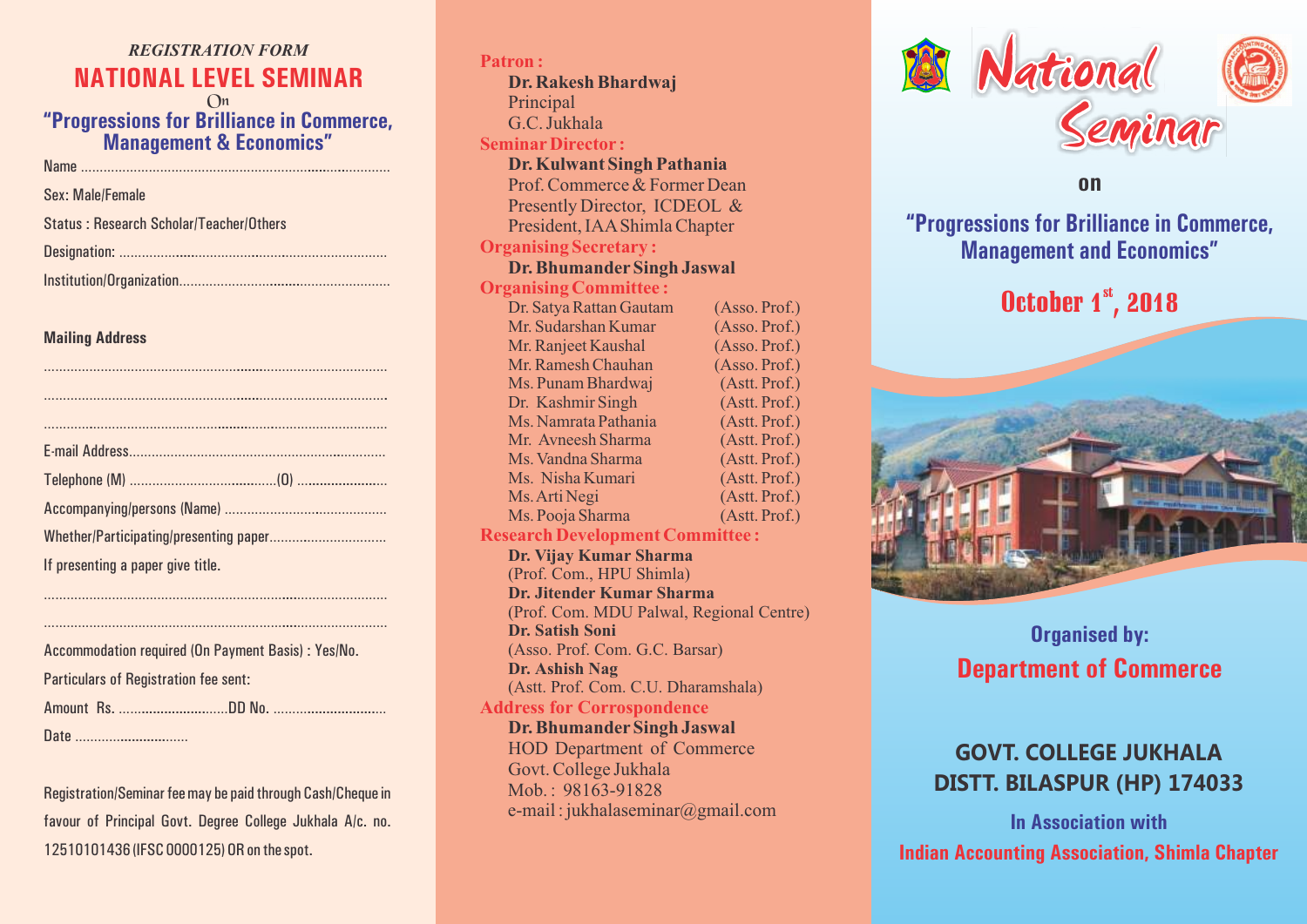# *REGISTRATION FORM* **NATIONAL LEVEL SEMINAR**

On **"Progressions for Brilliance in Commerce, Management & Economics"**

Name …………………………………………………….....…..…………

Sex: Male/Female

|  | Status: Research Scholar/Teacher/Others |
|--|-----------------------------------------|
|--|-----------------------------------------|

|--|--|

Institution/Organization……………………........……………………

#### **Mailing Address**

| If presenting a paper give title. |  |  |
|-----------------------------------|--|--|
|                                   |  |  |

………………………………………………………....……………………

………………………………………………………....……………………

#### Particulars of Registration fee sent:

Amount Rs. …….................……DD No. ………..................…

Date …………............……

Registration/Seminar fee may be paid through Cash/Cheque in favour of Principal Govt. Degree College Jukhala A/c. no. 12510101436 (IFSC 0000125) OR on the spot.

**Patron : SeminarDirector : Organising Secretary : Organising Committee : Research Development Committee : Dr. Rakesh Bhardwaj**  Principal G.C. Jukhala **Dr. Kulwant Singh Pathania** Prof. Commerce & Former Dean Presently Director, ICDEOL & President, IAAShimla Chapter **Dr. Bhumander Singh Jaswal** Dr. Satya Rattan Gautam (Asso. Prof.) Mr. Sudarshan Kumar (Asso. Prof.) Mr. Ranjeet Kaushal (Asso. Prof.)<br>Mr. Ramesh Chauhan (Asso. Prof.) Mr. Ramesh Chauhan Ms. Punam Bhardwai (Astt. Prof.) Dr. Kashmir Singh (Astt. Prof.) Ms. Namrata Pathania (Astt. Prof.) Mr. Avneesh Sharma (Astt. Prof.) Ms. Vandna Sharma (Astt. Prof.) Ms. Nisha Kumari (Astt. Prof.) Ms. Arti Negi (Astt. Prof.) Ms. Pooja Sharma (Astt. Prof.) **Dr. Vijay Kumar Sharma** (Prof. Com., HPU Shimla) **Dr. Jitender Kumar Sharma** (Prof. Com. MDU Palwal, Regional Centre) **Dr. Satish Soni** (Asso. Prof. Com. G.C. Barsar) **Dr. Ashish Nag** (Astt. Prof. Com. C.U. Dharamshala)

### **Address for Corrospondence Dr. Bhumander Singh Jaswal** HOD Department of Commerce Govt. College Jukhala Mob.: 98163-91828 e-mail : jukhalaseminar@gmail.com



## **on**

**"Progressions for Brilliance in Commerce, Management and Economics"**

# October  $1<sup>st</sup>$ , 2018



# **Organised by: Department of Commerce**

# **GOVT. COLLEGE JUKHALA DISTT. BILASPUR (HP) 174033**

**Indian Accounting Association, Shimla Chapter In Association with**